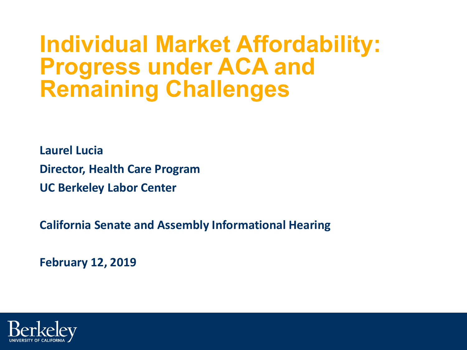# **Individual Market Affordability: Progress under ACA and Remaining Challenges**

**Laurel Lucia**

**Director, Health Care Program**

**UC Berkeley Labor Center**

**California Senate and Assembly Informational Hearing**

**February 12, 2019**

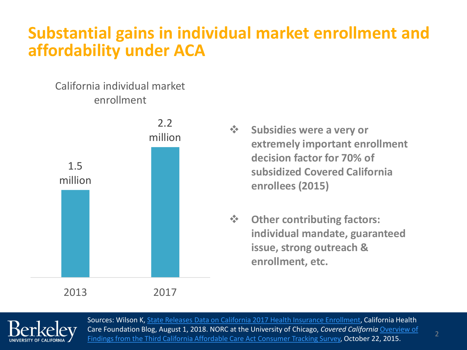#### **Substantial gains in individual market enrollment and affordability under ACA**

#### California individual market enrollment



- $\hat{\mathbf{\cdot}\mathbf{S}}$  **Subsidies were a very or extremely important enrollment decision factor for 70% of subsidized Covered California enrollees (2015)**
- **Other contributing factors: individual mandate, guaranteed issue, strong outreach & enrollment, etc.**



Sources: Wilson K, [State Releases Data on California 2017 Health Insurance Enrollment,](https://www.chcf.org/blog/state-releases-data-on-california-2017-health-insurance-enrollment/) California Health Care Foundation Blog, August 1, 2018. NORC at the University of Chicago, *Covered California* Overview of [Findings from the Third California Affordable Care Act Consumer Tracking Survey, October 22, 2015.](https://hbex.coveredca.com/data-research/library/2015CA-Affordable-Care-Act%20Consumer-Tracking-Survey.pdf)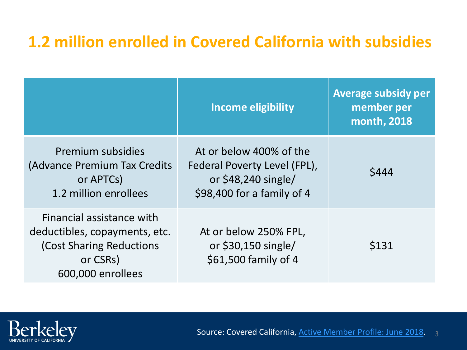### **1.2 million enrolled in Covered California with subsidies**

|                                                                                                                         | <b>Income eligibility</b>                                                                                     | <b>Average subsidy per</b><br>member per<br>month, 2018 |
|-------------------------------------------------------------------------------------------------------------------------|---------------------------------------------------------------------------------------------------------------|---------------------------------------------------------|
| Premium subsidies<br>(Advance Premium Tax Credits<br>or APTCs)<br>1.2 million enrollees                                 | At or below 400% of the<br>Federal Poverty Level (FPL),<br>or $$48,240$ single/<br>\$98,400 for a family of 4 | \$444                                                   |
| Financial assistance with<br>deductibles, copayments, etc.<br>(Cost Sharing Reductions<br>or CSRs)<br>600,000 enrollees | At or below 250% FPL,<br>or $$30,150$ single/<br>\$61,500 family of 4                                         | \$131                                                   |

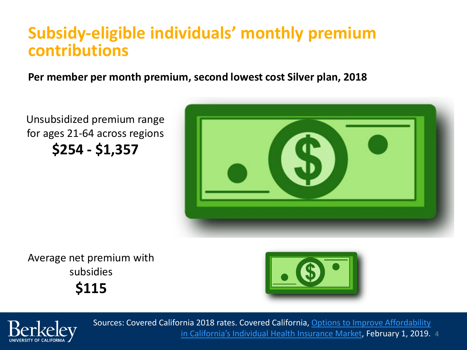#### **Subsidy-eligible individuals' monthly premium contributions**

**Per member per month premium, second lowest cost Silver plan, 2018**

Unsubsidized premium range for ages 21-64 across regions **\$254 - \$1,357**



Average net premium with subsidies **\$115**





[in California's Individual Health Insurance Market, February 1, 2019.](https://hbex.coveredca.com/data-research/library/CoveredCA_Options_To_Improve_Affordability.pdf) 4 Sources: Covered California 2018 rates. Covered California, Options to Improve Affordability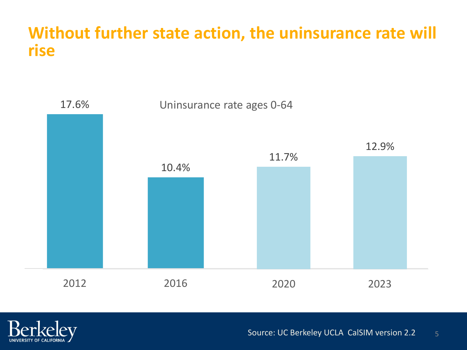#### **Without further state action, the uninsurance rate will rise**





Source: UC Berkeley UCLA CalSIM version 2.2 5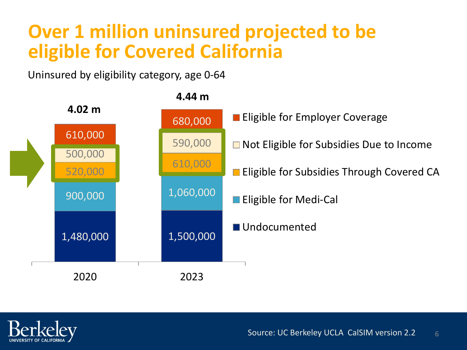### **Over 1 million uninsured projected to be eligible for Covered California**

Uninsured by eligibility category, age 0-64



**4.44 m**

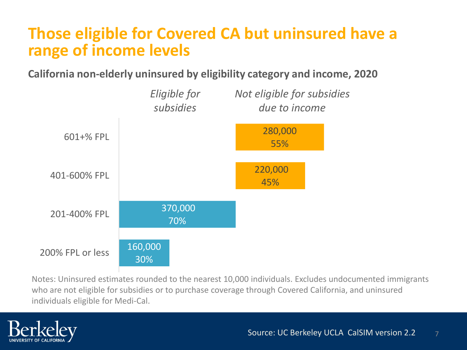#### **Those eligible for Covered CA but uninsured have a range of income levels**

**California non-elderly uninsured by eligibility category and income, 2020**



Notes: Uninsured estimates rounded to the nearest 10,000 individuals. Excludes undocumented immigrants who are not eligible for subsidies or to purchase coverage through Covered California, and uninsured individuals eligible for Medi-Cal.

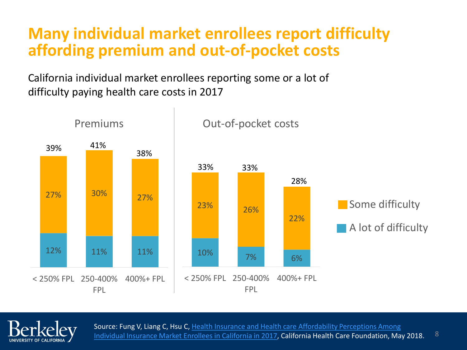#### **Many individual market enrollees report difficulty affording premium and out-of-pocket costs**

California individual market enrollees reporting some or a lot of difficulty paying health care costs in 2017





Source: Fung V, Liang C, Hsu C, Health Insurance and Health care Affordability Perceptions Among [Individual Insurance Market Enrollees in California in 2017, California Health Care Foundation, Ma](https://www.chcf.org/wp-content/uploads/2018/05/InsuranceCareAffordabilityPerceptions2017.pdf)y 2018.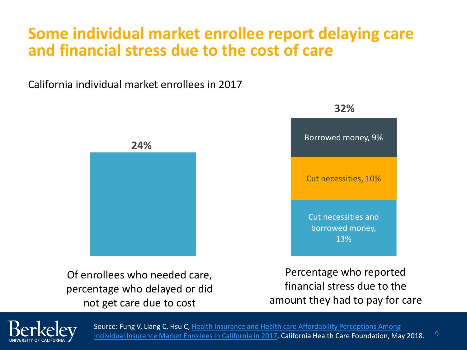#### **Some individual market enrollee report delaying care and financial stress due to the cost of care**

California individual market enrollees in 2017



Of enrollees who needed care, percentage who delayed or did not get care due to cost



Percentage who reported financial stress due to the amount they had to pay for care



Source: Fung V, Liang C, Hsu C, Health Insurance and Health care Affordability Perceptions Among [Individual Insurance Market Enrollees in California in 2017, California Health Care Foundation, Ma](https://www.chcf.org/wp-content/uploads/2018/05/InsuranceCareAffordabilityPerceptions2017.pdf)y 2018.

**32%**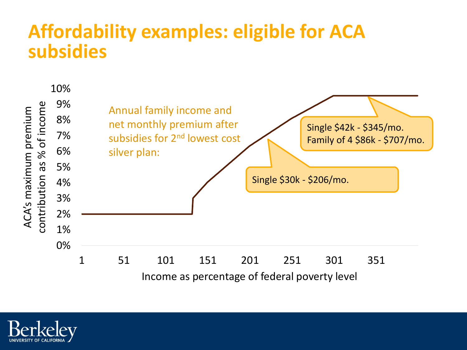### **Affordability examples: eligible for ACA subsidies**



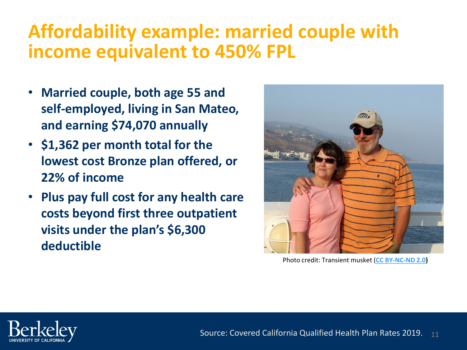### **Affordability example: married couple with income equivalent to 450% FPL**

- **Married couple, both age 55 and self-employed, living in San Mateo, and earning \$74,070 annually**
- **\$1,362 per month total for the lowest cost Bronze plan offered, or 22% of income**
- **Plus pay full cost for any health care costs beyond first three outpatient visits under the plan's \$6,300 deductible**



Photo credit: Transient musket (**[CC BY-NC-ND 2.0](https://creativecommons.org/licenses/by-nc-nd/2.0/))**

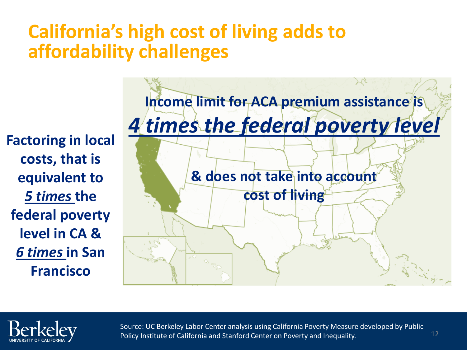### **California's high cost of living adds to affordability challenges**

**Factoring in local costs, that is equivalent to**  *5 times* **the federal poverty level in CA &** *6 times* **in San Francisco**





Source: UC Berkeley Labor Center analysis using California Poverty Measure developed by Public Policy Institute of California and Stanford Center on Poverty and Inequality.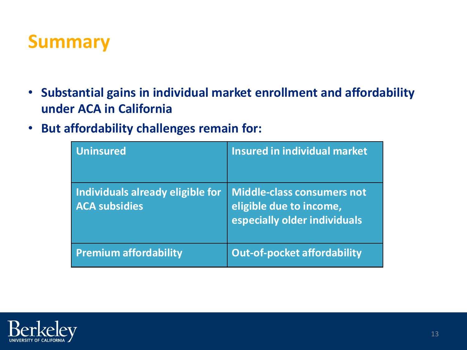### **Summary**

- **Substantial gains in individual market enrollment and affordability under ACA in California**
- **But affordability challenges remain for:**

| <b>Uninsured</b>                                         | <b>Insured in individual market</b>                                                          |
|----------------------------------------------------------|----------------------------------------------------------------------------------------------|
| Individuals already eligible for<br><b>ACA subsidies</b> | <b>Middle-class consumers not</b><br>eligible due to income,<br>especially older individuals |
| <b>Premium affordability</b>                             | <b>Out-of-pocket affordability</b>                                                           |

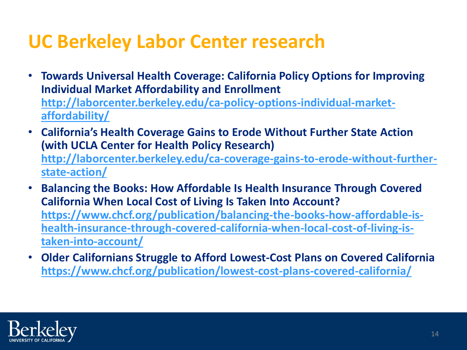## **UC Berkeley Labor Center research**

- **Towards Universal Health Coverage: California Policy Options for Improving Individual Market Affordability and Enrollment [http://laborcenter.berkeley.edu/ca-policy-options-individual-market](http://laborcenter.berkeley.edu/ca-policy-options-individual-market-affordability/)affordability/**
- **California's Health Coverage Gains to Erode Without Further State Action (with UCLA Center for Health Policy Research) [http://laborcenter.berkeley.edu/ca-coverage-gains-to-erode-without-further](http://laborcenter.berkeley.edu/ca-coverage-gains-to-erode-without-further-state-action/)state-action/**
- **Balancing the Books: How Affordable Is Health Insurance Through Covered California When Local Cost of Living Is Taken Into Account? https://www.chcf.org/publication/balancing-the-books-how-affordable-is[health-insurance-through-covered-california-when-local-cost-of-living-is](https://www.chcf.org/publication/balancing-the-books-how-affordable-is-health-insurance-through-covered-california-when-local-cost-of-living-is-taken-into-account/)taken-into-account/**
- **Older Californians Struggle to Afford Lowest-Cost Plans on Covered California <https://www.chcf.org/publication/lowest-cost-plans-covered-california/>**